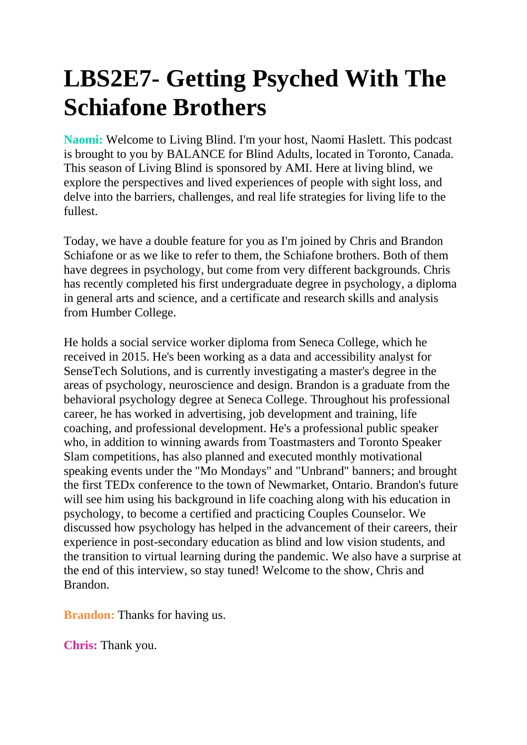## **LBS2E7- Getting Psyched With The Schiafone Brothers**

**Naomi:** Welcome to Living Blind. I'm your host, Naomi Haslett. This podcast is brought to you by BALANCE for Blind Adults, located in Toronto, Canada. This season of Living Blind is sponsored by AMI. Here at living blind, we explore the perspectives and lived experiences of people with sight loss, and delve into the barriers, challenges, and real life strategies for living life to the fullest.

Today, we have a double feature for you as I'm joined by Chris and Brandon Schiafone or as we like to refer to them, the Schiafone brothers. Both of them have degrees in psychology, but come from very different backgrounds. Chris has recently completed his first undergraduate degree in psychology, a diploma in general arts and science, and a certificate and research skills and analysis from Humber College.

He holds a social service worker diploma from Seneca College, which he received in 2015. He's been working as a data and accessibility analyst for SenseTech Solutions, and is currently investigating a master's degree in the areas of psychology, neuroscience and design. Brandon is a graduate from the behavioral psychology degree at Seneca College. Throughout his professional career, he has worked in advertising, job development and training, life coaching, and professional development. He's a professional public speaker who, in addition to winning awards from Toastmasters and Toronto Speaker Slam competitions, has also planned and executed monthly motivational speaking events under the "Mo Mondays" and "Unbrand" banners; and brought the first TEDx conference to the town of Newmarket, Ontario. Brandon's future will see him using his background in life coaching along with his education in psychology, to become a certified and practicing Couples Counselor. We discussed how psychology has helped in the advancement of their careers, their experience in post-secondary education as blind and low vision students, and the transition to virtual learning during the pandemic. We also have a surprise at the end of this interview, so stay tuned! Welcome to the show, Chris and Brandon.

**Brandon:** Thanks for having us.

**Chris:** Thank you.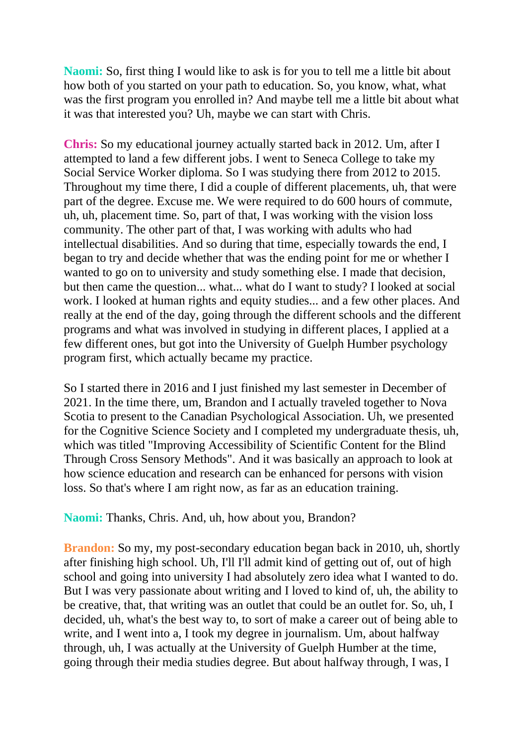**Naomi:** So, first thing I would like to ask is for you to tell me a little bit about how both of you started on your path to education. So, you know, what, what was the first program you enrolled in? And maybe tell me a little bit about what it was that interested you? Uh, maybe we can start with Chris.

**Chris:** So my educational journey actually started back in 2012. Um, after I attempted to land a few different jobs. I went to Seneca College to take my Social Service Worker diploma. So I was studying there from 2012 to 2015. Throughout my time there, I did a couple of different placements, uh, that were part of the degree. Excuse me. We were required to do 600 hours of commute, uh, uh, placement time. So, part of that, I was working with the vision loss community. The other part of that, I was working with adults who had intellectual disabilities. And so during that time, especially towards the end, I began to try and decide whether that was the ending point for me or whether I wanted to go on to university and study something else. I made that decision, but then came the question... what... what do I want to study? I looked at social work. I looked at human rights and equity studies... and a few other places. And really at the end of the day, going through the different schools and the different programs and what was involved in studying in different places, I applied at a few different ones, but got into the University of Guelph Humber psychology program first, which actually became my practice.

So I started there in 2016 and I just finished my last semester in December of 2021. In the time there, um, Brandon and I actually traveled together to Nova Scotia to present to the Canadian Psychological Association. Uh, we presented for the Cognitive Science Society and I completed my undergraduate thesis, uh, which was titled "Improving Accessibility of Scientific Content for the Blind Through Cross Sensory Methods". And it was basically an approach to look at how science education and research can be enhanced for persons with vision loss. So that's where I am right now, as far as an education training.

**Naomi:** Thanks, Chris. And, uh, how about you, Brandon?

**Brandon:** So my, my post-secondary education began back in 2010, uh, shortly after finishing high school. Uh, I'll I'll admit kind of getting out of, out of high school and going into university I had absolutely zero idea what I wanted to do. But I was very passionate about writing and I loved to kind of, uh, the ability to be creative, that, that writing was an outlet that could be an outlet for. So, uh, I decided, uh, what's the best way to, to sort of make a career out of being able to write, and I went into a, I took my degree in journalism. Um, about halfway through, uh, I was actually at the University of Guelph Humber at the time, going through their media studies degree. But about halfway through, I was, I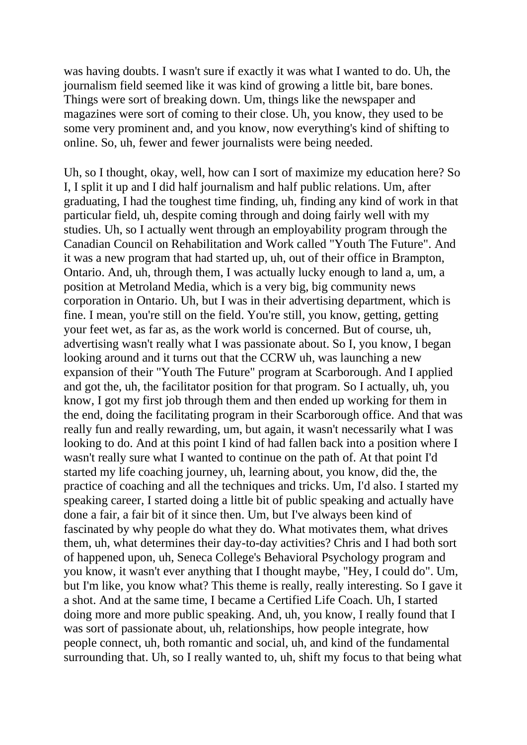was having doubts. I wasn't sure if exactly it was what I wanted to do. Uh, the journalism field seemed like it was kind of growing a little bit, bare bones. Things were sort of breaking down. Um, things like the newspaper and magazines were sort of coming to their close. Uh, you know, they used to be some very prominent and, and you know, now everything's kind of shifting to online. So, uh, fewer and fewer journalists were being needed.

Uh, so I thought, okay, well, how can I sort of maximize my education here? So I, I split it up and I did half journalism and half public relations. Um, after graduating, I had the toughest time finding, uh, finding any kind of work in that particular field, uh, despite coming through and doing fairly well with my studies. Uh, so I actually went through an employability program through the Canadian Council on Rehabilitation and Work called "Youth The Future". And it was a new program that had started up, uh, out of their office in Brampton, Ontario. And, uh, through them, I was actually lucky enough to land a, um, a position at Metroland Media, which is a very big, big community news corporation in Ontario. Uh, but I was in their advertising department, which is fine. I mean, you're still on the field. You're still, you know, getting, getting your feet wet, as far as, as the work world is concerned. But of course, uh, advertising wasn't really what I was passionate about. So I, you know, I began looking around and it turns out that the CCRW uh, was launching a new expansion of their "Youth The Future" program at Scarborough. And I applied and got the, uh, the facilitator position for that program. So I actually, uh, you know, I got my first job through them and then ended up working for them in the end, doing the facilitating program in their Scarborough office. And that was really fun and really rewarding, um, but again, it wasn't necessarily what I was looking to do. And at this point I kind of had fallen back into a position where I wasn't really sure what I wanted to continue on the path of. At that point I'd started my life coaching journey, uh, learning about, you know, did the, the practice of coaching and all the techniques and tricks. Um, I'd also. I started my speaking career, I started doing a little bit of public speaking and actually have done a fair, a fair bit of it since then. Um, but I've always been kind of fascinated by why people do what they do. What motivates them, what drives them, uh, what determines their day-to-day activities? Chris and I had both sort of happened upon, uh, Seneca College's Behavioral Psychology program and you know, it wasn't ever anything that I thought maybe, "Hey, I could do". Um, but I'm like, you know what? This theme is really, really interesting. So I gave it a shot. And at the same time, I became a Certified Life Coach. Uh, I started doing more and more public speaking. And, uh, you know, I really found that I was sort of passionate about, uh, relationships, how people integrate, how people connect, uh, both romantic and social, uh, and kind of the fundamental surrounding that. Uh, so I really wanted to, uh, shift my focus to that being what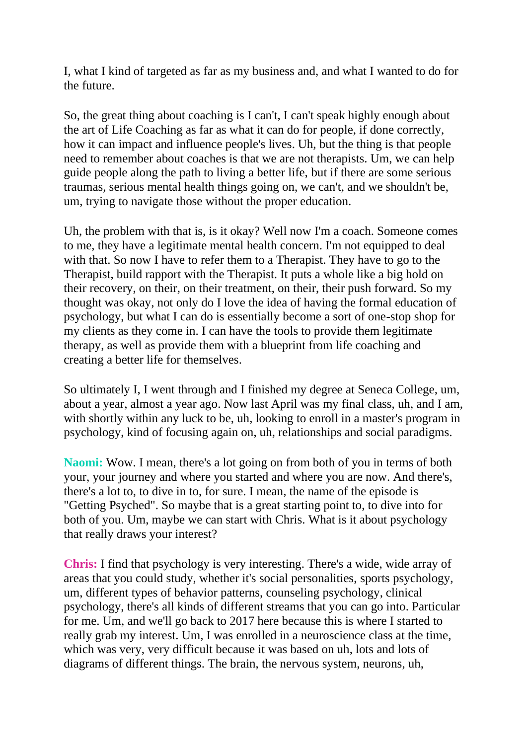I, what I kind of targeted as far as my business and, and what I wanted to do for the future.

So, the great thing about coaching is I can't, I can't speak highly enough about the art of Life Coaching as far as what it can do for people, if done correctly, how it can impact and influence people's lives. Uh, but the thing is that people need to remember about coaches is that we are not therapists. Um, we can help guide people along the path to living a better life, but if there are some serious traumas, serious mental health things going on, we can't, and we shouldn't be, um, trying to navigate those without the proper education.

Uh, the problem with that is, is it okay? Well now I'm a coach. Someone comes to me, they have a legitimate mental health concern. I'm not equipped to deal with that. So now I have to refer them to a Therapist. They have to go to the Therapist, build rapport with the Therapist. It puts a whole like a big hold on their recovery, on their, on their treatment, on their, their push forward. So my thought was okay, not only do I love the idea of having the formal education of psychology, but what I can do is essentially become a sort of one-stop shop for my clients as they come in. I can have the tools to provide them legitimate therapy, as well as provide them with a blueprint from life coaching and creating a better life for themselves.

So ultimately I, I went through and I finished my degree at Seneca College, um, about a year, almost a year ago. Now last April was my final class, uh, and I am, with shortly within any luck to be, uh, looking to enroll in a master's program in psychology, kind of focusing again on, uh, relationships and social paradigms.

**Naomi:** Wow. I mean, there's a lot going on from both of you in terms of both your, your journey and where you started and where you are now. And there's, there's a lot to, to dive in to, for sure. I mean, the name of the episode is "Getting Psyched". So maybe that is a great starting point to, to dive into for both of you. Um, maybe we can start with Chris. What is it about psychology that really draws your interest?

**Chris:** I find that psychology is very interesting. There's a wide, wide array of areas that you could study, whether it's social personalities, sports psychology, um, different types of behavior patterns, counseling psychology, clinical psychology, there's all kinds of different streams that you can go into. Particular for me. Um, and we'll go back to 2017 here because this is where I started to really grab my interest. Um, I was enrolled in a neuroscience class at the time, which was very, very difficult because it was based on uh, lots and lots of diagrams of different things. The brain, the nervous system, neurons, uh,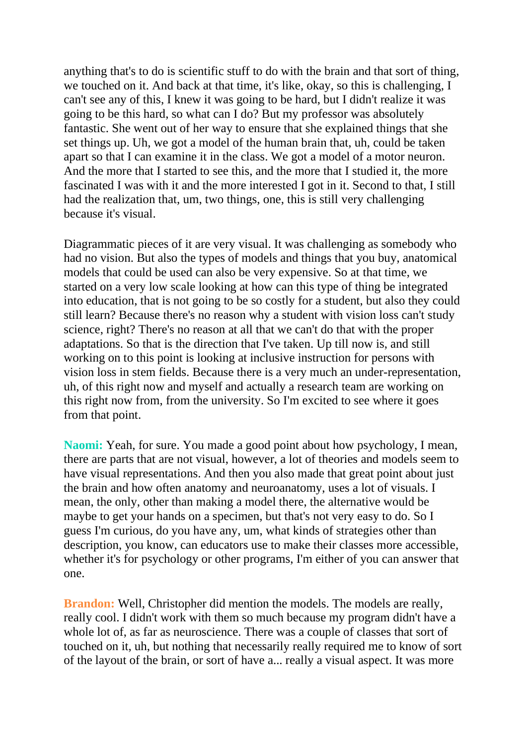anything that's to do is scientific stuff to do with the brain and that sort of thing, we touched on it. And back at that time, it's like, okay, so this is challenging, I can't see any of this, I knew it was going to be hard, but I didn't realize it was going to be this hard, so what can I do? But my professor was absolutely fantastic. She went out of her way to ensure that she explained things that she set things up. Uh, we got a model of the human brain that, uh, could be taken apart so that I can examine it in the class. We got a model of a motor neuron. And the more that I started to see this, and the more that I studied it, the more fascinated I was with it and the more interested I got in it. Second to that, I still had the realization that, um, two things, one, this is still very challenging because it's visual.

Diagrammatic pieces of it are very visual. It was challenging as somebody who had no vision. But also the types of models and things that you buy, anatomical models that could be used can also be very expensive. So at that time, we started on a very low scale looking at how can this type of thing be integrated into education, that is not going to be so costly for a student, but also they could still learn? Because there's no reason why a student with vision loss can't study science, right? There's no reason at all that we can't do that with the proper adaptations. So that is the direction that I've taken. Up till now is, and still working on to this point is looking at inclusive instruction for persons with vision loss in stem fields. Because there is a very much an under-representation, uh, of this right now and myself and actually a research team are working on this right now from, from the university. So I'm excited to see where it goes from that point.

**Naomi:** Yeah, for sure. You made a good point about how psychology, I mean, there are parts that are not visual, however, a lot of theories and models seem to have visual representations. And then you also made that great point about just the brain and how often anatomy and neuroanatomy, uses a lot of visuals. I mean, the only, other than making a model there, the alternative would be maybe to get your hands on a specimen, but that's not very easy to do. So I guess I'm curious, do you have any, um, what kinds of strategies other than description, you know, can educators use to make their classes more accessible, whether it's for psychology or other programs, I'm either of you can answer that one.

**Brandon:** Well, Christopher did mention the models. The models are really, really cool. I didn't work with them so much because my program didn't have a whole lot of, as far as neuroscience. There was a couple of classes that sort of touched on it, uh, but nothing that necessarily really required me to know of sort of the layout of the brain, or sort of have a... really a visual aspect. It was more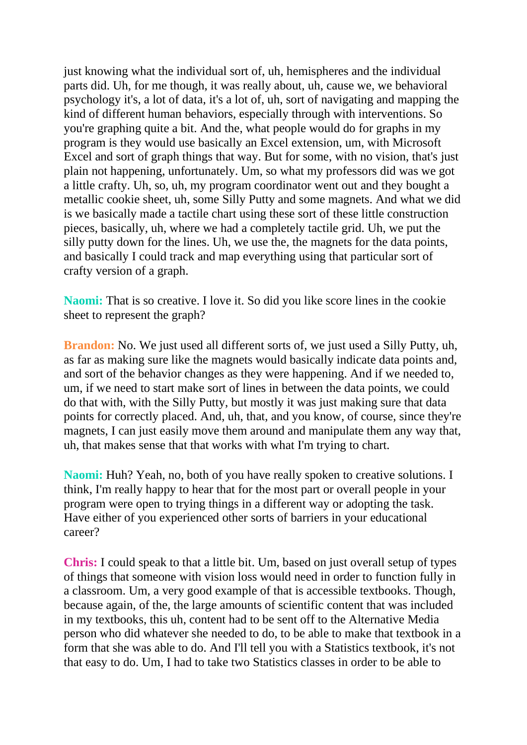just knowing what the individual sort of, uh, hemispheres and the individual parts did. Uh, for me though, it was really about, uh, cause we, we behavioral psychology it's, a lot of data, it's a lot of, uh, sort of navigating and mapping the kind of different human behaviors, especially through with interventions. So you're graphing quite a bit. And the, what people would do for graphs in my program is they would use basically an Excel extension, um, with Microsoft Excel and sort of graph things that way. But for some, with no vision, that's just plain not happening, unfortunately. Um, so what my professors did was we got a little crafty. Uh, so, uh, my program coordinator went out and they bought a metallic cookie sheet, uh, some Silly Putty and some magnets. And what we did is we basically made a tactile chart using these sort of these little construction pieces, basically, uh, where we had a completely tactile grid. Uh, we put the silly putty down for the lines. Uh, we use the, the magnets for the data points, and basically I could track and map everything using that particular sort of crafty version of a graph.

**Naomi:** That is so creative. I love it. So did you like score lines in the cookie sheet to represent the graph?

**Brandon:** No. We just used all different sorts of, we just used a Silly Putty, uh, as far as making sure like the magnets would basically indicate data points and, and sort of the behavior changes as they were happening. And if we needed to, um, if we need to start make sort of lines in between the data points, we could do that with, with the Silly Putty, but mostly it was just making sure that data points for correctly placed. And, uh, that, and you know, of course, since they're magnets, I can just easily move them around and manipulate them any way that, uh, that makes sense that that works with what I'm trying to chart.

**Naomi:** Huh? Yeah, no, both of you have really spoken to creative solutions. I think, I'm really happy to hear that for the most part or overall people in your program were open to trying things in a different way or adopting the task. Have either of you experienced other sorts of barriers in your educational career?

**Chris:** I could speak to that a little bit. Um, based on just overall setup of types of things that someone with vision loss would need in order to function fully in a classroom. Um, a very good example of that is accessible textbooks. Though, because again, of the, the large amounts of scientific content that was included in my textbooks, this uh, content had to be sent off to the Alternative Media person who did whatever she needed to do, to be able to make that textbook in a form that she was able to do. And I'll tell you with a Statistics textbook, it's not that easy to do. Um, I had to take two Statistics classes in order to be able to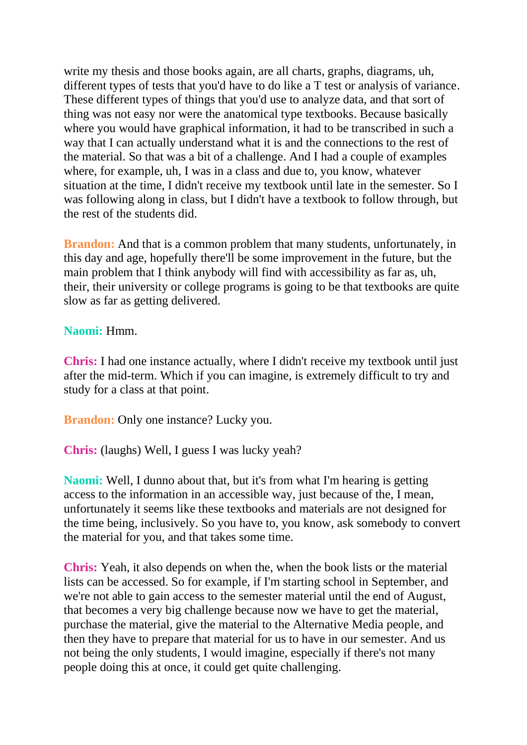write my thesis and those books again, are all charts, graphs, diagrams, uh, different types of tests that you'd have to do like a T test or analysis of variance. These different types of things that you'd use to analyze data, and that sort of thing was not easy nor were the anatomical type textbooks. Because basically where you would have graphical information, it had to be transcribed in such a way that I can actually understand what it is and the connections to the rest of the material. So that was a bit of a challenge. And I had a couple of examples where, for example, uh, I was in a class and due to, you know, whatever situation at the time, I didn't receive my textbook until late in the semester. So I was following along in class, but I didn't have a textbook to follow through, but the rest of the students did.

**Brandon:** And that is a common problem that many students, unfortunately, in this day and age, hopefully there'll be some improvement in the future, but the main problem that I think anybody will find with accessibility as far as, uh, their, their university or college programs is going to be that textbooks are quite slow as far as getting delivered.

## **Naomi:** Hmm.

**Chris:** I had one instance actually, where I didn't receive my textbook until just after the mid-term. Which if you can imagine, is extremely difficult to try and study for a class at that point.

**Brandon:** Only one instance? Lucky you.

**Chris:** (laughs) Well, I guess I was lucky yeah?

**Naomi:** Well, I dunno about that, but it's from what I'm hearing is getting access to the information in an accessible way, just because of the, I mean, unfortunately it seems like these textbooks and materials are not designed for the time being, inclusively. So you have to, you know, ask somebody to convert the material for you, and that takes some time.

**Chris:** Yeah, it also depends on when the, when the book lists or the material lists can be accessed. So for example, if I'm starting school in September, and we're not able to gain access to the semester material until the end of August, that becomes a very big challenge because now we have to get the material, purchase the material, give the material to the Alternative Media people, and then they have to prepare that material for us to have in our semester. And us not being the only students, I would imagine, especially if there's not many people doing this at once, it could get quite challenging.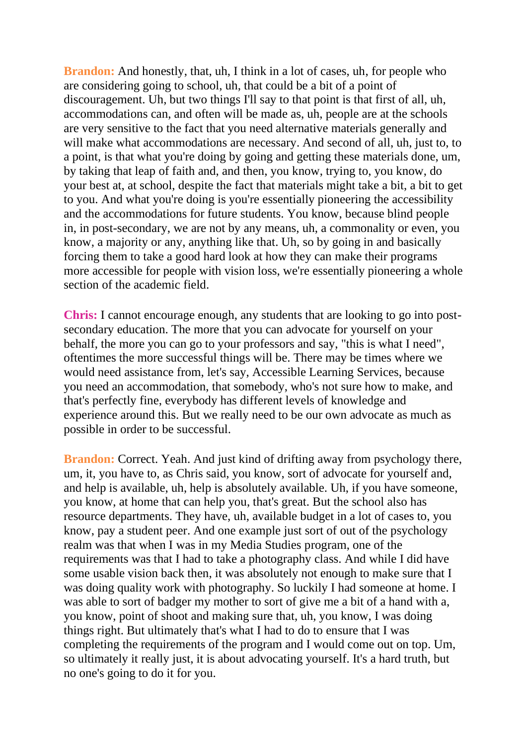**Brandon:** And honestly, that, uh, I think in a lot of cases, uh, for people who are considering going to school, uh, that could be a bit of a point of discouragement. Uh, but two things I'll say to that point is that first of all, uh, accommodations can, and often will be made as, uh, people are at the schools are very sensitive to the fact that you need alternative materials generally and will make what accommodations are necessary. And second of all, uh, just to, to a point, is that what you're doing by going and getting these materials done, um, by taking that leap of faith and, and then, you know, trying to, you know, do your best at, at school, despite the fact that materials might take a bit, a bit to get to you. And what you're doing is you're essentially pioneering the accessibility and the accommodations for future students. You know, because blind people in, in post-secondary, we are not by any means, uh, a commonality or even, you know, a majority or any, anything like that. Uh, so by going in and basically forcing them to take a good hard look at how they can make their programs more accessible for people with vision loss, we're essentially pioneering a whole section of the academic field.

**Chris:** I cannot encourage enough, any students that are looking to go into postsecondary education. The more that you can advocate for yourself on your behalf, the more you can go to your professors and say, "this is what I need", oftentimes the more successful things will be. There may be times where we would need assistance from, let's say, Accessible Learning Services, because you need an accommodation, that somebody, who's not sure how to make, and that's perfectly fine, everybody has different levels of knowledge and experience around this. But we really need to be our own advocate as much as possible in order to be successful.

**Brandon:** Correct. Yeah. And just kind of drifting away from psychology there, um, it, you have to, as Chris said, you know, sort of advocate for yourself and, and help is available, uh, help is absolutely available. Uh, if you have someone, you know, at home that can help you, that's great. But the school also has resource departments. They have, uh, available budget in a lot of cases to, you know, pay a student peer. And one example just sort of out of the psychology realm was that when I was in my Media Studies program, one of the requirements was that I had to take a photography class. And while I did have some usable vision back then, it was absolutely not enough to make sure that I was doing quality work with photography. So luckily I had someone at home. I was able to sort of badger my mother to sort of give me a bit of a hand with a, you know, point of shoot and making sure that, uh, you know, I was doing things right. But ultimately that's what I had to do to ensure that I was completing the requirements of the program and I would come out on top. Um, so ultimately it really just, it is about advocating yourself. It's a hard truth, but no one's going to do it for you.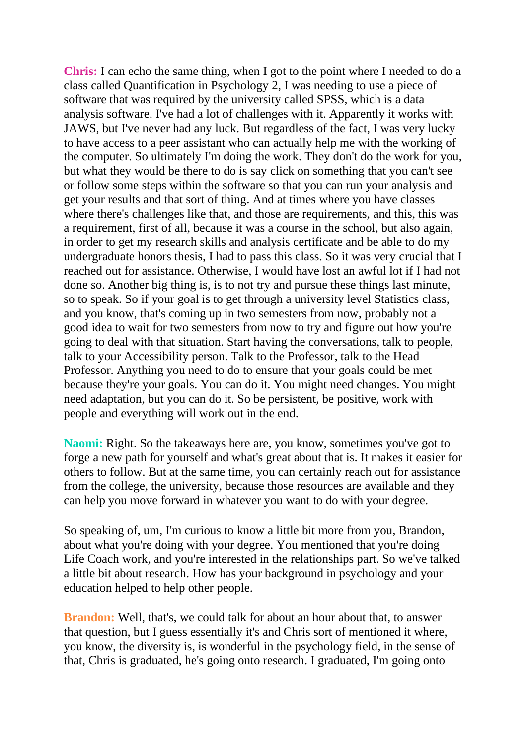**Chris:** I can echo the same thing, when I got to the point where I needed to do a class called Quantification in Psychology 2, I was needing to use a piece of software that was required by the university called SPSS, which is a data analysis software. I've had a lot of challenges with it. Apparently it works with JAWS, but I've never had any luck. But regardless of the fact, I was very lucky to have access to a peer assistant who can actually help me with the working of the computer. So ultimately I'm doing the work. They don't do the work for you, but what they would be there to do is say click on something that you can't see or follow some steps within the software so that you can run your analysis and get your results and that sort of thing. And at times where you have classes where there's challenges like that, and those are requirements, and this, this was a requirement, first of all, because it was a course in the school, but also again, in order to get my research skills and analysis certificate and be able to do my undergraduate honors thesis, I had to pass this class. So it was very crucial that I reached out for assistance. Otherwise, I would have lost an awful lot if I had not done so. Another big thing is, is to not try and pursue these things last minute, so to speak. So if your goal is to get through a university level Statistics class, and you know, that's coming up in two semesters from now, probably not a good idea to wait for two semesters from now to try and figure out how you're going to deal with that situation. Start having the conversations, talk to people, talk to your Accessibility person. Talk to the Professor, talk to the Head Professor. Anything you need to do to ensure that your goals could be met because they're your goals. You can do it. You might need changes. You might need adaptation, but you can do it. So be persistent, be positive, work with people and everything will work out in the end.

**Naomi:** Right. So the takeaways here are, you know, sometimes you've got to forge a new path for yourself and what's great about that is. It makes it easier for others to follow. But at the same time, you can certainly reach out for assistance from the college, the university, because those resources are available and they can help you move forward in whatever you want to do with your degree.

So speaking of, um, I'm curious to know a little bit more from you, Brandon, about what you're doing with your degree. You mentioned that you're doing Life Coach work, and you're interested in the relationships part. So we've talked a little bit about research. How has your background in psychology and your education helped to help other people.

**Brandon:** Well, that's, we could talk for about an hour about that, to answer that question, but I guess essentially it's and Chris sort of mentioned it where, you know, the diversity is, is wonderful in the psychology field, in the sense of that, Chris is graduated, he's going onto research. I graduated, I'm going onto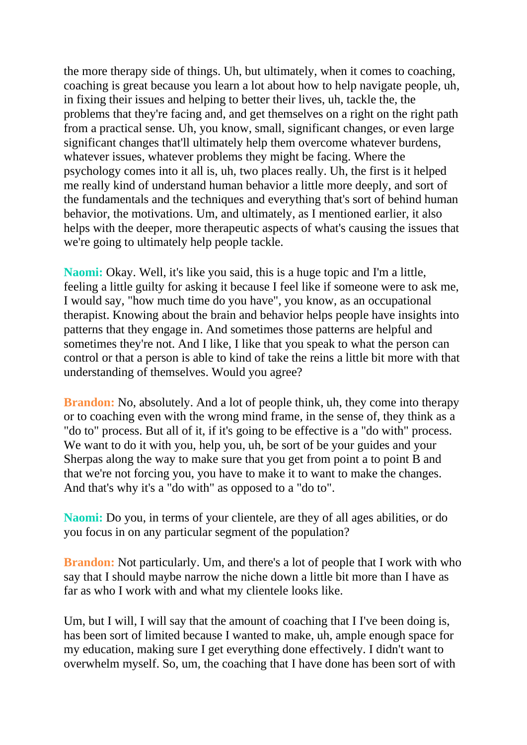the more therapy side of things. Uh, but ultimately, when it comes to coaching, coaching is great because you learn a lot about how to help navigate people, uh, in fixing their issues and helping to better their lives, uh, tackle the, the problems that they're facing and, and get themselves on a right on the right path from a practical sense. Uh, you know, small, significant changes, or even large significant changes that'll ultimately help them overcome whatever burdens, whatever issues, whatever problems they might be facing. Where the psychology comes into it all is, uh, two places really. Uh, the first is it helped me really kind of understand human behavior a little more deeply, and sort of the fundamentals and the techniques and everything that's sort of behind human behavior, the motivations. Um, and ultimately, as I mentioned earlier, it also helps with the deeper, more therapeutic aspects of what's causing the issues that we're going to ultimately help people tackle.

**Naomi:** Okay. Well, it's like you said, this is a huge topic and I'm a little, feeling a little guilty for asking it because I feel like if someone were to ask me, I would say, "how much time do you have", you know, as an occupational therapist. Knowing about the brain and behavior helps people have insights into patterns that they engage in. And sometimes those patterns are helpful and sometimes they're not. And I like, I like that you speak to what the person can control or that a person is able to kind of take the reins a little bit more with that understanding of themselves. Would you agree?

**Brandon:** No, absolutely. And a lot of people think, uh, they come into therapy or to coaching even with the wrong mind frame, in the sense of, they think as a "do to" process. But all of it, if it's going to be effective is a "do with" process. We want to do it with you, help you, uh, be sort of be your guides and your Sherpas along the way to make sure that you get from point a to point B and that we're not forcing you, you have to make it to want to make the changes. And that's why it's a "do with" as opposed to a "do to".

**Naomi:** Do you, in terms of your clientele, are they of all ages abilities, or do you focus in on any particular segment of the population?

**Brandon:** Not particularly. Um, and there's a lot of people that I work with who say that I should maybe narrow the niche down a little bit more than I have as far as who I work with and what my clientele looks like.

Um, but I will, I will say that the amount of coaching that I I've been doing is, has been sort of limited because I wanted to make, uh, ample enough space for my education, making sure I get everything done effectively. I didn't want to overwhelm myself. So, um, the coaching that I have done has been sort of with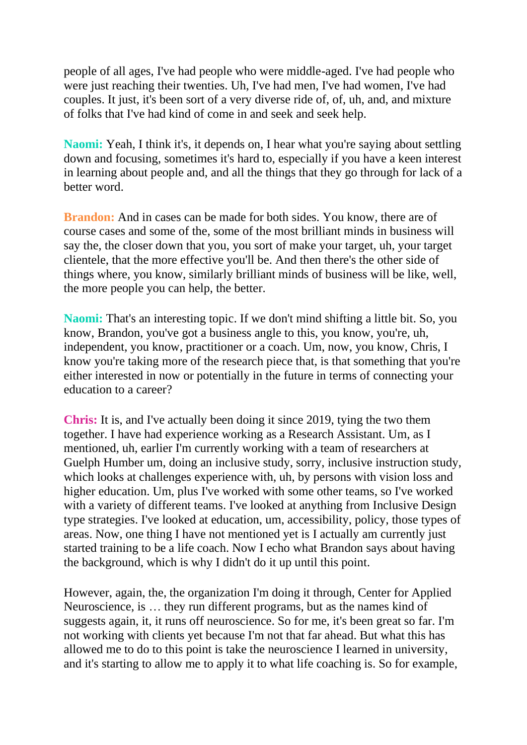people of all ages, I've had people who were middle-aged. I've had people who were just reaching their twenties. Uh, I've had men, I've had women, I've had couples. It just, it's been sort of a very diverse ride of, of, uh, and, and mixture of folks that I've had kind of come in and seek and seek help.

**Naomi:** Yeah, I think it's, it depends on, I hear what you're saying about settling down and focusing, sometimes it's hard to, especially if you have a keen interest in learning about people and, and all the things that they go through for lack of a better word.

**Brandon:** And in cases can be made for both sides. You know, there are of course cases and some of the, some of the most brilliant minds in business will say the, the closer down that you, you sort of make your target, uh, your target clientele, that the more effective you'll be. And then there's the other side of things where, you know, similarly brilliant minds of business will be like, well, the more people you can help, the better.

**Naomi:** That's an interesting topic. If we don't mind shifting a little bit. So, you know, Brandon, you've got a business angle to this, you know, you're, uh, independent, you know, practitioner or a coach. Um, now, you know, Chris, I know you're taking more of the research piece that, is that something that you're either interested in now or potentially in the future in terms of connecting your education to a career?

**Chris:** It is, and I've actually been doing it since 2019, tying the two them together. I have had experience working as a Research Assistant. Um, as I mentioned, uh, earlier I'm currently working with a team of researchers at Guelph Humber um, doing an inclusive study, sorry, inclusive instruction study, which looks at challenges experience with, uh, by persons with vision loss and higher education. Um, plus I've worked with some other teams, so I've worked with a variety of different teams. I've looked at anything from Inclusive Design type strategies. I've looked at education, um, accessibility, policy, those types of areas. Now, one thing I have not mentioned yet is I actually am currently just started training to be a life coach. Now I echo what Brandon says about having the background, which is why I didn't do it up until this point.

However, again, the, the organization I'm doing it through, Center for Applied Neuroscience, is … they run different programs, but as the names kind of suggests again, it, it runs off neuroscience. So for me, it's been great so far. I'm not working with clients yet because I'm not that far ahead. But what this has allowed me to do to this point is take the neuroscience I learned in university, and it's starting to allow me to apply it to what life coaching is. So for example,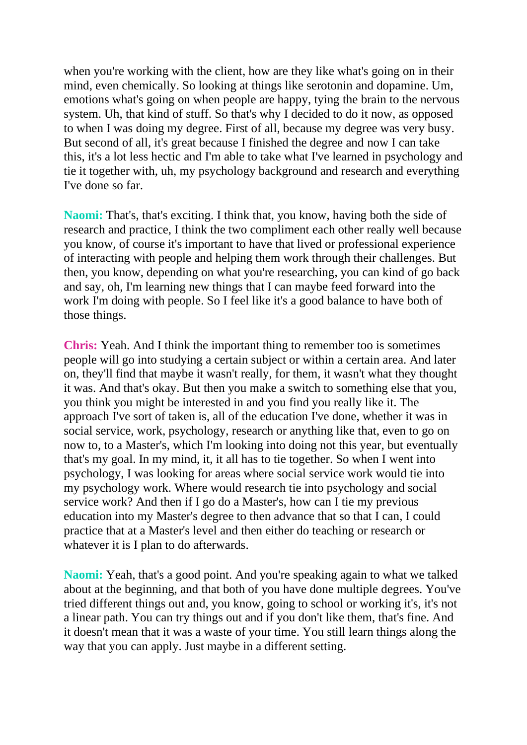when you're working with the client, how are they like what's going on in their mind, even chemically. So looking at things like serotonin and dopamine. Um, emotions what's going on when people are happy, tying the brain to the nervous system. Uh, that kind of stuff. So that's why I decided to do it now, as opposed to when I was doing my degree. First of all, because my degree was very busy. But second of all, it's great because I finished the degree and now I can take this, it's a lot less hectic and I'm able to take what I've learned in psychology and tie it together with, uh, my psychology background and research and everything I've done so far.

**Naomi:** That's, that's exciting. I think that, you know, having both the side of research and practice, I think the two compliment each other really well because you know, of course it's important to have that lived or professional experience of interacting with people and helping them work through their challenges. But then, you know, depending on what you're researching, you can kind of go back and say, oh, I'm learning new things that I can maybe feed forward into the work I'm doing with people. So I feel like it's a good balance to have both of those things.

**Chris:** Yeah. And I think the important thing to remember too is sometimes people will go into studying a certain subject or within a certain area. And later on, they'll find that maybe it wasn't really, for them, it wasn't what they thought it was. And that's okay. But then you make a switch to something else that you, you think you might be interested in and you find you really like it. The approach I've sort of taken is, all of the education I've done, whether it was in social service, work, psychology, research or anything like that, even to go on now to, to a Master's, which I'm looking into doing not this year, but eventually that's my goal. In my mind, it, it all has to tie together. So when I went into psychology, I was looking for areas where social service work would tie into my psychology work. Where would research tie into psychology and social service work? And then if I go do a Master's, how can I tie my previous education into my Master's degree to then advance that so that I can, I could practice that at a Master's level and then either do teaching or research or whatever it is I plan to do afterwards.

**Naomi:** Yeah, that's a good point. And you're speaking again to what we talked about at the beginning, and that both of you have done multiple degrees. You've tried different things out and, you know, going to school or working it's, it's not a linear path. You can try things out and if you don't like them, that's fine. And it doesn't mean that it was a waste of your time. You still learn things along the way that you can apply. Just maybe in a different setting.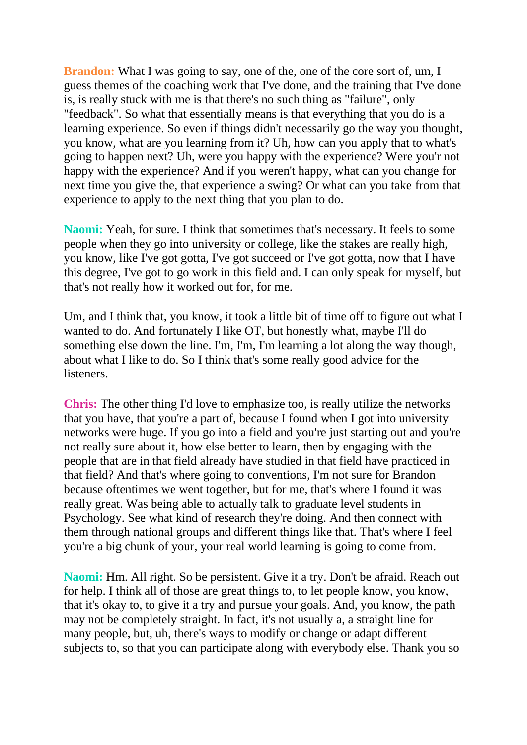**Brandon:** What I was going to say, one of the, one of the core sort of, um, I guess themes of the coaching work that I've done, and the training that I've done is, is really stuck with me is that there's no such thing as "failure", only "feedback". So what that essentially means is that everything that you do is a learning experience. So even if things didn't necessarily go the way you thought, you know, what are you learning from it? Uh, how can you apply that to what's going to happen next? Uh, were you happy with the experience? Were you'r not happy with the experience? And if you weren't happy, what can you change for next time you give the, that experience a swing? Or what can you take from that experience to apply to the next thing that you plan to do.

**Naomi:** Yeah, for sure. I think that sometimes that's necessary. It feels to some people when they go into university or college, like the stakes are really high, you know, like I've got gotta, I've got succeed or I've got gotta, now that I have this degree, I've got to go work in this field and. I can only speak for myself, but that's not really how it worked out for, for me.

Um, and I think that, you know, it took a little bit of time off to figure out what I wanted to do. And fortunately I like OT, but honestly what, maybe I'll do something else down the line. I'm, I'm, I'm learning a lot along the way though, about what I like to do. So I think that's some really good advice for the listeners.

**Chris:** The other thing I'd love to emphasize too, is really utilize the networks that you have, that you're a part of, because I found when I got into university networks were huge. If you go into a field and you're just starting out and you're not really sure about it, how else better to learn, then by engaging with the people that are in that field already have studied in that field have practiced in that field? And that's where going to conventions, I'm not sure for Brandon because oftentimes we went together, but for me, that's where I found it was really great. Was being able to actually talk to graduate level students in Psychology. See what kind of research they're doing. And then connect with them through national groups and different things like that. That's where I feel you're a big chunk of your, your real world learning is going to come from.

**Naomi:** Hm. All right. So be persistent. Give it a try. Don't be afraid. Reach out for help. I think all of those are great things to, to let people know, you know, that it's okay to, to give it a try and pursue your goals. And, you know, the path may not be completely straight. In fact, it's not usually a, a straight line for many people, but, uh, there's ways to modify or change or adapt different subjects to, so that you can participate along with everybody else. Thank you so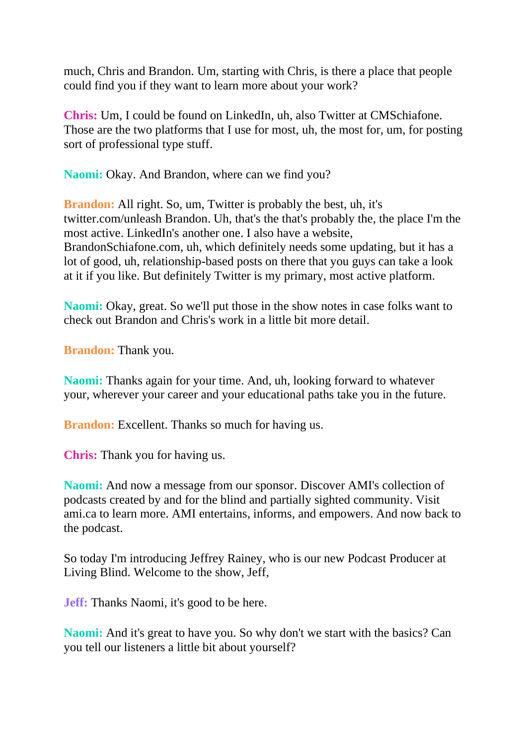much, Chris and Brandon. Um, starting with Chris, is there a place that people could find you if they want to learn more about your work?

**Chris:** Um, I could be found on LinkedIn, uh, also Twitter at CMSchiafone. Those are the two platforms that I use for most, uh, the most for, um, for posting sort of professional type stuff.

**Naomi:** Okay. And Brandon, where can we find you?

**Brandon:** All right. So, um, Twitter is probably the best, uh, it's twitter.com/unleash Brandon. Uh, that's the that's probably the, the place I'm the most active. LinkedIn's another one. I also have a website, BrandonSchiafone.com, uh, which definitely needs some updating, but it has a lot of good, uh, relationship-based posts on there that you guys can take a look at it if you like. But definitely Twitter is my primary, most active platform.

**Naomi:** Okay, great. So we'll put those in the show notes in case folks want to check out Brandon and Chris's work in a little bit more detail.

**Brandon:** Thank you.

**Naomi:** Thanks again for your time. And, uh, looking forward to whatever your, wherever your career and your educational paths take you in the future.

**Brandon:** Excellent. Thanks so much for having us.

**Chris:** Thank you for having us.

**Naomi:** And now a message from our sponsor. Discover AMI's collection of podcasts created by and for the blind and partially sighted community. Visit ami.ca to learn more. AMI entertains, informs, and empowers. And now back to the podcast.

So today I'm introducing Jeffrey Rainey, who is our new Podcast Producer at Living Blind. Welcome to the show, Jeff,

**Jeff:** Thanks Naomi, it's good to be here.

**Naomi:** And it's great to have you. So why don't we start with the basics? Can you tell our listeners a little bit about yourself?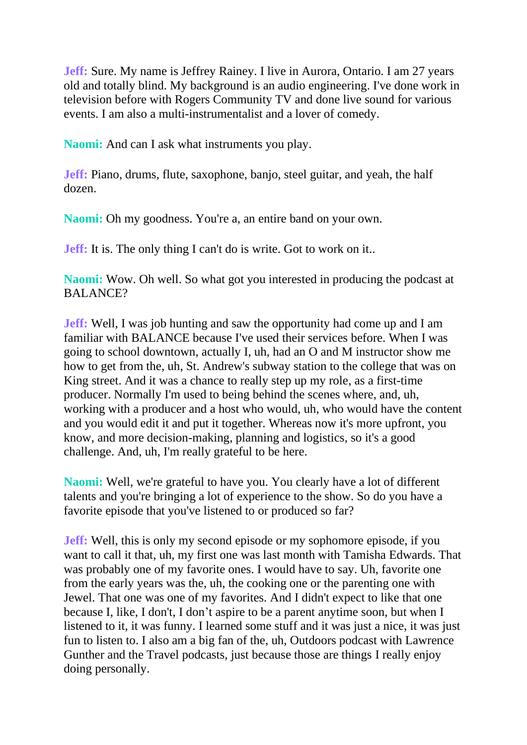**Jeff:** Sure. My name is Jeffrey Rainey. I live in Aurora, Ontario. I am 27 years old and totally blind. My background is an audio engineering. I've done work in television before with Rogers Community TV and done live sound for various events. I am also a multi-instrumentalist and a lover of comedy.

**Naomi:** And can I ask what instruments you play.

**Jeff:** Piano, drums, flute, saxophone, banjo, steel guitar, and yeah, the half dozen.

Naomi: Oh my goodness. You're a, an entire band on your own.

**Jeff:** It is. The only thing I can't do is write. Got to work on it..

**Naomi:** Wow. Oh well. So what got you interested in producing the podcast at BALANCE?

**Jeff:** Well, I was job hunting and saw the opportunity had come up and I am familiar with BALANCE because I've used their services before. When I was going to school downtown, actually I, uh, had an O and M instructor show me how to get from the, uh, St. Andrew's subway station to the college that was on King street. And it was a chance to really step up my role, as a first-time producer. Normally I'm used to being behind the scenes where, and, uh, working with a producer and a host who would, uh, who would have the content and you would edit it and put it together. Whereas now it's more upfront, you know, and more decision-making, planning and logistics, so it's a good challenge. And, uh, I'm really grateful to be here.

**Naomi:** Well, we're grateful to have you. You clearly have a lot of different talents and you're bringing a lot of experience to the show. So do you have a favorite episode that you've listened to or produced so far?

**Jeff:** Well, this is only my second episode or my sophomore episode, if you want to call it that, uh, my first one was last month with Tamisha Edwards. That was probably one of my favorite ones. I would have to say. Uh, favorite one from the early years was the, uh, the cooking one or the parenting one with Jewel. That one was one of my favorites. And I didn't expect to like that one because I, like, I don't, I don't aspire to be a parent anytime soon, but when I listened to it, it was funny. I learned some stuff and it was just a nice, it was just fun to listen to. I also am a big fan of the, uh, Outdoors podcast with Lawrence Gunther and the Travel podcasts, just because those are things I really enjoy doing personally.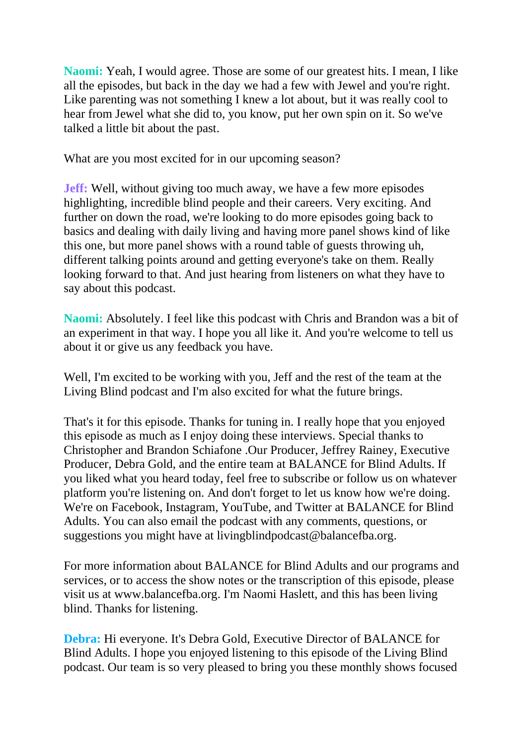**Naomi:** Yeah, I would agree. Those are some of our greatest hits. I mean, I like all the episodes, but back in the day we had a few with Jewel and you're right. Like parenting was not something I knew a lot about, but it was really cool to hear from Jewel what she did to, you know, put her own spin on it. So we've talked a little bit about the past.

What are you most excited for in our upcoming season?

**Jeff:** Well, without giving too much away, we have a few more episodes highlighting, incredible blind people and their careers. Very exciting. And further on down the road, we're looking to do more episodes going back to basics and dealing with daily living and having more panel shows kind of like this one, but more panel shows with a round table of guests throwing uh, different talking points around and getting everyone's take on them. Really looking forward to that. And just hearing from listeners on what they have to say about this podcast.

**Naomi:** Absolutely. I feel like this podcast with Chris and Brandon was a bit of an experiment in that way. I hope you all like it. And you're welcome to tell us about it or give us any feedback you have.

Well, I'm excited to be working with you, Jeff and the rest of the team at the Living Blind podcast and I'm also excited for what the future brings.

That's it for this episode. Thanks for tuning in. I really hope that you enjoyed this episode as much as I enjoy doing these interviews. Special thanks to Christopher and Brandon Schiafone .Our Producer, Jeffrey Rainey, Executive Producer, Debra Gold, and the entire team at BALANCE for Blind Adults. If you liked what you heard today, feel free to subscribe or follow us on whatever platform you're listening on. And don't forget to let us know how we're doing. We're on Facebook, Instagram, YouTube, and Twitter at BALANCE for Blind Adults. You can also email the podcast with any comments, questions, or suggestions you might have at livingblindpodcast@balancefba.org.

For more information about BALANCE for Blind Adults and our programs and services, or to access the show notes or the transcription of this episode, please visit us at www.balancefba.org. I'm Naomi Haslett, and this has been living blind. Thanks for listening.

**Debra:** Hi everyone. It's Debra Gold, Executive Director of BALANCE for Blind Adults. I hope you enjoyed listening to this episode of the Living Blind podcast. Our team is so very pleased to bring you these monthly shows focused